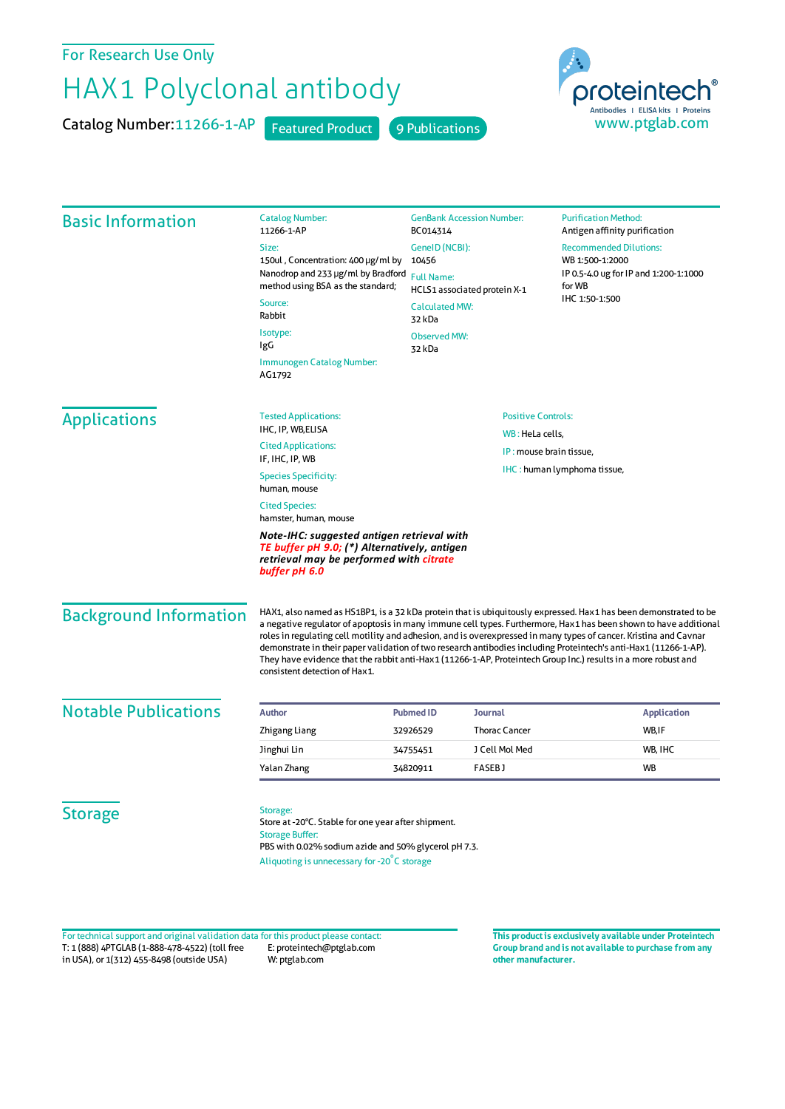For Research Use Only

## HAX1 Polyclonal antibody

Catalog Number: 11266-1-AP Featured Product 9 Publications



| <b>Basic Information</b>      | <b>Catalog Number:</b><br>11266-1-AP                                                                                                                                                                                                                                                                                                                                                                                                                                                                                                                                                                                             | <b>GenBank Accession Number:</b><br>BC014314<br>GenelD (NCBI):<br>10456<br><b>Full Name:</b><br>HCLS1 associated protein X-1<br><b>Calculated MW:</b><br>32 kDa<br><b>Observed MW:</b><br>32 kDa |                      | <b>Purification Method:</b><br>Antigen affinity purification<br><b>Recommended Dilutions:</b><br>WB 1:500-1:2000<br>IP 0.5-4.0 ug for IP and 1:200-1:1000<br>for WB<br>IHC 1:50-1:500 |
|-------------------------------|----------------------------------------------------------------------------------------------------------------------------------------------------------------------------------------------------------------------------------------------------------------------------------------------------------------------------------------------------------------------------------------------------------------------------------------------------------------------------------------------------------------------------------------------------------------------------------------------------------------------------------|--------------------------------------------------------------------------------------------------------------------------------------------------------------------------------------------------|----------------------|---------------------------------------------------------------------------------------------------------------------------------------------------------------------------------------|
|                               | Size:                                                                                                                                                                                                                                                                                                                                                                                                                                                                                                                                                                                                                            |                                                                                                                                                                                                  |                      |                                                                                                                                                                                       |
|                               | 150ul, Concentration: 400 µg/ml by                                                                                                                                                                                                                                                                                                                                                                                                                                                                                                                                                                                               |                                                                                                                                                                                                  |                      |                                                                                                                                                                                       |
|                               | Nanodrop and 233 µg/ml by Bradford<br>method using BSA as the standard;                                                                                                                                                                                                                                                                                                                                                                                                                                                                                                                                                          |                                                                                                                                                                                                  |                      |                                                                                                                                                                                       |
|                               | Source:<br>Rabbit                                                                                                                                                                                                                                                                                                                                                                                                                                                                                                                                                                                                                |                                                                                                                                                                                                  |                      |                                                                                                                                                                                       |
|                               | Isotype:<br>IgG                                                                                                                                                                                                                                                                                                                                                                                                                                                                                                                                                                                                                  |                                                                                                                                                                                                  |                      |                                                                                                                                                                                       |
|                               | Immunogen Catalog Number:<br>AG1792                                                                                                                                                                                                                                                                                                                                                                                                                                                                                                                                                                                              |                                                                                                                                                                                                  |                      |                                                                                                                                                                                       |
| <b>Applications</b>           | <b>Tested Applications:</b>                                                                                                                                                                                                                                                                                                                                                                                                                                                                                                                                                                                                      | <b>Positive Controls:</b>                                                                                                                                                                        |                      |                                                                                                                                                                                       |
|                               | IHC, IP, WB, ELISA                                                                                                                                                                                                                                                                                                                                                                                                                                                                                                                                                                                                               | WB: HeLa cells,                                                                                                                                                                                  |                      |                                                                                                                                                                                       |
|                               | <b>Cited Applications:</b><br>IF, IHC, IP, WB                                                                                                                                                                                                                                                                                                                                                                                                                                                                                                                                                                                    | IP: mouse brain tissue,<br>IHC: human lymphoma tissue,                                                                                                                                           |                      |                                                                                                                                                                                       |
|                               | <b>Species Specificity:</b><br>human, mouse                                                                                                                                                                                                                                                                                                                                                                                                                                                                                                                                                                                      |                                                                                                                                                                                                  |                      |                                                                                                                                                                                       |
|                               | <b>Cited Species:</b><br>hamster, human, mouse                                                                                                                                                                                                                                                                                                                                                                                                                                                                                                                                                                                   |                                                                                                                                                                                                  |                      |                                                                                                                                                                                       |
|                               | Note-IHC: suggested antigen retrieval with<br>TE buffer pH 9.0; (*) Alternatively, antigen<br>retrieval may be performed with citrate<br>buffer pH 6.0                                                                                                                                                                                                                                                                                                                                                                                                                                                                           |                                                                                                                                                                                                  |                      |                                                                                                                                                                                       |
| <b>Background Information</b> | HAX1, also named as HS1BP1, is a 32 kDa protein that is ubiquitously expressed. Hax1 has been demonstrated to be<br>a negative regulator of apoptosis in many immune cell types. Furthermore, Hax1 has been shown to have additional<br>roles in regulating cell motility and adhesion, and is overexpressed in many types of cancer. Kristina and Cavnar<br>demonstrate in their paper validation of two research antibodies including Proteintech's anti-Hax1 (11266-1-AP).<br>They have evidence that the rabbit anti-Hax1 (11266-1-AP, Proteintech Group Inc.) results in a more robust and<br>consistent detection of Hax1. |                                                                                                                                                                                                  |                      |                                                                                                                                                                                       |
| <b>Notable Publications</b>   | <b>Author</b>                                                                                                                                                                                                                                                                                                                                                                                                                                                                                                                                                                                                                    | <b>Pubmed ID</b>                                                                                                                                                                                 | <b>Journal</b>       | <b>Application</b>                                                                                                                                                                    |
|                               | Zhigang Liang                                                                                                                                                                                                                                                                                                                                                                                                                                                                                                                                                                                                                    | 32926529                                                                                                                                                                                         | <b>Thorac Cancer</b> | WB,IF                                                                                                                                                                                 |
|                               | Jinghui Lin                                                                                                                                                                                                                                                                                                                                                                                                                                                                                                                                                                                                                      | 34755451                                                                                                                                                                                         | J Cell Mol Med       | WB, IHC                                                                                                                                                                               |
|                               | Yalan Zhang                                                                                                                                                                                                                                                                                                                                                                                                                                                                                                                                                                                                                      | 34820911                                                                                                                                                                                         | <b>FASEBJ</b>        | WB                                                                                                                                                                                    |
| <b>Storage</b>                | Storage:<br>Store at -20°C. Stable for one year after shipment.<br><b>Storage Buffer:</b><br>PBS with 0.02% sodium azide and 50% glycerol pH 7.3.<br>Aliquoting is unnecessary for -20°C storage                                                                                                                                                                                                                                                                                                                                                                                                                                 |                                                                                                                                                                                                  |                      |                                                                                                                                                                                       |

T: 1 (888) 4PTGLAB (1-888-478-4522) (toll free in USA), or 1(312) 455-8498 (outside USA) E: proteintech@ptglab.com W: ptglab.com Fortechnical support and original validation data forthis product please contact: **This productis exclusively available under Proteintech**

**Group brand and is not available to purchase from any other manufacturer.**